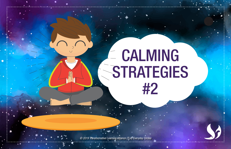# **CALMING STRATEGIES** #2

*© 2019 Transformative Learning Alliance (TLA) Everyday Circles*